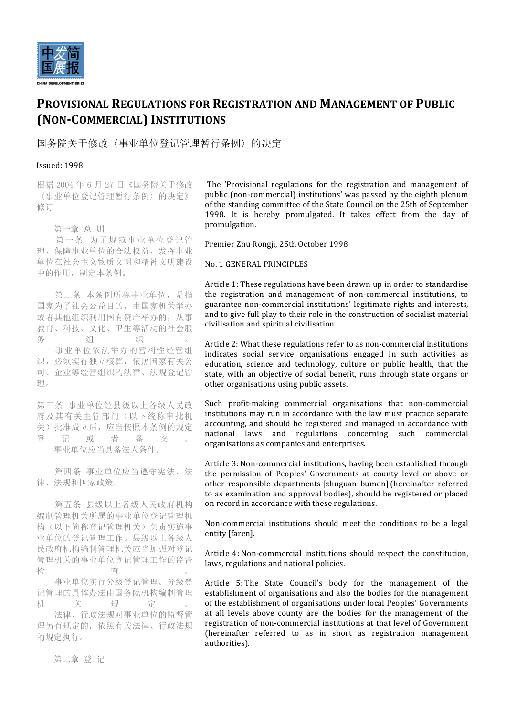

# **PROVISIONAL REGULATIONS FOR REGISTRATION AND MANAGEMENT OF PUBLIC (NON-COMMERCIAL) INSTITUTIONS**

国务院关于修改〈事业单位登记管理暂行条例〉的决定

# Issued: 1998

根据 2004 年 6 月 27 日《国务院关于修改 〈事业单位登记管理暂行条例〉的决定》 修订

第一章 总 则

 第一条 为了规范事业单位登记管 理,保障事业单位的合法权益,发挥事业 单位在社会主义物质文明和精神文明建设 中的作用,制定本条例。

第二条 本条例所称事业单位, 是指 国家为了社会公益目的,由国家机关举办 或者其他组织利用国有资产举办的,从事 教育、科技、文化、卫生等活动的社会服 务 组 织 。 事业单位依法举办的营利性经营组 织,必须实行独立核算,依照国家有关公 司、企业等经营组织的法律、法规登记管 理。

第三条 事业单位经县级以上各级人民政 府及其有关主管部门(以下统称审批机 关)批准成立后,应当依照本条例的规定 登记或者备案。

事业单位应当具备法人条件。

 第四条 事业单位应当遵守宪法、法 律、法规和国家政策。

 第五条 县级以上各级人民政府机构 编制管理机关所属的事业单位登记管理机 构(以下简称登记管理机关)负责实施事 业单位的登记管理工作。县级以上各级人 民政府机构编制管理机关应当加强对登记 管理机关的事业单位登记管理工作的监督 检 查 。

 事业单位实行分级登记管理。分级登 记管理的具体办法由国务院机构编制管理 机 关 规 定 。

 法律、行政法规对事业单位的监督管 理另有规定的,依照有关法律、行政法规 的规定执行。

The 'Provisional regulations for the registration and management of public (non-commercial) institutions' was passed by the eighth plenum of the standing committee of the State Council on the 25th of September 1998. It is hereby promulgated. It takes effect from the day of promulgation.

Premier Zhu Rongji, 25th October 1998

## No. 1 GENERAL PRINCIPLES

Article 1: These regulations have been drawn up in order to standardise the registration and management of non-commercial institutions, to guarantee non-commercial institutions' legitimate rights and interests, and to give full play to their role in the construction of socialist material civilisation and spiritual civilisation.

Article 2: What these regulations refer to as non-commercial institutions indicates social service organisations engaged in such activities as education, science and technology, culture or public health, that the state, with an objective of social benefit, runs through state organs or other organisations using public assets.

Such profit-making commercial organisations that non-commercial  $intitions may run in accordance with the law must practice separate$ accounting, and should be registered and managed in accordance with national laws and regulations concerning such commercial organisations as companies and enterprises.

Article 3: Non-commercial institutions, having been established through the permission of Peoples' Governments at county level or above or other responsible departments [zhuguan bumen] (hereinafter referred to as examination and approval bodies), should be registered or placed on record in accordance with these regulations.

Non-commercial institutions should meet the conditions to be a legal entity [faren].

Article 4: Non-commercial institutions should respect the constitution, laws, regulations and national policies.

Article 5: The State Council's body for the management of the establishment of organisations and also the bodies for the management of the establishment of organisations under local Peoples' Governments at all levels above county are the bodies for the management of the registration of non-commercial institutions at that level of Government (hereinafter referred to as in short as registration management authorities).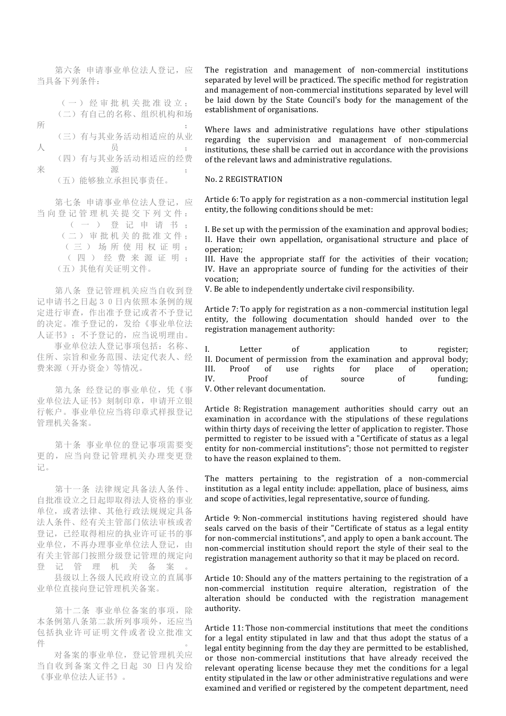第六条 申请事业单位法人登记, 应 当具备下列条件:

 (一)经审批机关批准设立; (二)有自己的名称、组织机构和场  $\mathfrak{m}$  , and is a set of  $\mathfrak{m}$  , and  $\mathfrak{m}$  , and  $\mathfrak{m}$  , and  $\mathfrak{m}$  (三)有与其业务活动相适应的从业 人 员 ; (四)有与其业务活动相适应的经费 来<br>  $\frac{1}{2}$ (五)能够独立承担民事责任。

第七条 申请事业单位法人登记, 应 当向登记管理机关提交下列文件: (一)登记申请书; (二)审批机关的批准文件; (三)场所使用权证 明 ; (四)经费来源证明; (五)其他有关证明文件。

 第八条 登记管理机关应当自收到登 记申请书之日起30日内依照本条例的规 定进行审查,作出准予登记或者不予登记 的决定。准予登记的,发给《事业单位法 人证书》;不予登记的,应当说明理由。

 事业单位法人登记事项包括:名称、 住所、宗旨和业务范围、法定代表人、经 费来源(开办资金)等情况。

第九条 经登记的事业单位, 凭《事 业单位法人证书》刻制印章,申请开立银 行帐户。事业单位应当将印章式样报登记 管理机关备案。

 第十条 事业单位的登记事项需要变 更的,应当向登记管理机关办理变更登 记。

 第十一条 法律规定具备法人条件、 自批准设立之日起即取得法人资格的事业 单位, 或者法律、其他行政法规规定具备 法人条件、经有关主管部门依法审核或者 登记,已经取得相应的执业许可证书的事 业单位,不再办理事业单位法人登记,由 有关主管部门按照分级登记管理的规定向 登记管理机关备案。

 县级以上各级人民政府设立的直属事 业单位直接向登记管理机关备案。

第十二条 事业单位备案的事项, 除 本条例第八条第二款所列事项外,还应当 包括执业许可证明文件或者设立批准文 件 。

 对备案的事业单位,登记管理机关应 当自收到备案文件之日起 30 日内发给 《事业单位法人证书》。

The registration and management of non-commercial institutions separated by level will be practiced. The specific method for registration and management of non-commercial institutions separated by level will be laid down by the State Council's body for the management of the establishment of organisations.

Where laws and administrative regulations have other stipulations regarding the supervision and management of non-commercial institutions, these shall be carried out in accordance with the provisions of the relevant laws and administrative regulations.

#### No. 2 REGISTRATION

Article 6: To apply for registration as a non-commercial institution legal entity, the following conditions should be met:

I. Be set up with the permission of the examination and approval bodies; II. Have their own appellation, organisational structure and place of operation;

III. Have the appropriate staff for the activities of their vocation; IV. Have an appropriate source of funding for the activities of their vocation;

V. Be able to independently undertake civil responsibility.

Article 7: To apply for registration as a non-commercial institution legal entity, the following documentation should handed over to the registration management authority:

I. Letter of application to register; II. Document of permission from the examination and approval body; III. Proof of use rights for place of operation; IV. Proof of source of funding; V. Other relevant documentation.

Article 8: Registration management authorities should carry out an examination in accordance with the stipulations of these regulations within thirty days of receiving the letter of application to register. Those permitted to register to be issued with a "Certificate of status as a legal entity for non-commercial institutions"; those not permitted to register to have the reason explained to them.

The matters pertaining to the registration of a non-commercial institution as a legal entity include: appellation, place of business, aims and scope of activities, legal representative, source of funding.

Article 9: Non-commercial institutions having registered should have seals carved on the basis of their "Certificate of status as a legal entity for non-commercial institutions", and apply to open a bank account. The non-commercial institution should report the style of their seal to the registration management authority so that it may be placed on record.

Article 10: Should any of the matters pertaining to the registration of a non-commercial institution require alteration, registration of the alteration should be conducted with the registration management authority.

Article 11: Those non-commercial institutions that meet the conditions for a legal entity stipulated in law and that thus adopt the status of a legal entity beginning from the day they are permitted to be established, or those non-commercial institutions that have already received the relevant operating license because they met the conditions for a legal entity stipulated in the law or other administrative regulations and were examined and verified or registered by the competent department, need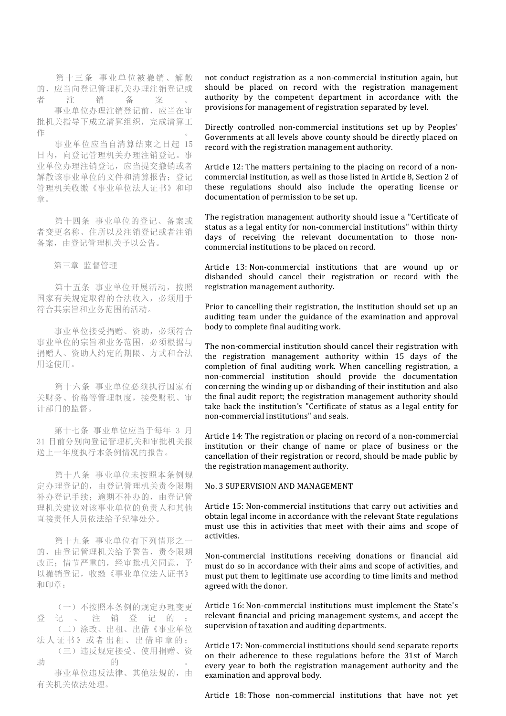第十三条 事业单位被撤销、解散 的,应当向登记管理机关办理注销登记或 者注销备案。

 事业单位办理注销登记前,应当在审 批机关指导下成立清算组织,完成清算工 作 。

 事业单位应当自清算结束之日起 15 日内,向登记管理机关办理注销登记。事 业单位办理注销登记,应当提交撤销或者 解散该事业单位的文件和清算报告;登记 管理机关收缴《事业单位法人证书》和印 章。

 第十四条 事业单位的登记、备案或 者变更名称、住所以及注销登记或者注销 备案,由登记管理机关予以公告。

第三章 监督管理

 第十五条 事业单位开展活动,按照 国家有关规定取得的合法收入,必须用于 符合其宗旨和业务范围的活动。

 事业单位接受捐赠、资助,必须符合 事业单位的宗旨和业务范围,必须根据与 捐赠人、资助人约定的期限、方式和合法 用途使用。

 第十六条 事业单位必须执行国家有 关财务、价格等管理制度,接受财税、审 计部门的监督。

 第十七条 事业单位应当于每年 3 月 31 日前分别向登记管理机关和审批机关报 送上一年度执行本条例情况的报告。

 第十八条 事业单位未按照本条例规 定办理登记的,由登记管理机关责令限期 补办登记手续;逾期不补办的,由登记管 理机关建议对该事业单位的负责人和其他 直接责任人员依法给予纪律处分。

 第十九条 事业单位有下列情形之一 的,由登记管理机关给予警告,责令限期 改正;情节严重的,经审批机关同意,予 以撤销登记,收缴《事业单位法人证书》 和印章:

 (一)不按照本条例的规定办理变更 登记、注销登记的; (二)涂改、出租、出借《事业单位

法人证书》或者出租、出借印章的; (三)违反规定接受、使用捐赠、资

助的。 的话,我们就会在这里的时候,我们就会在这里的时候,我们就会在这里的时候,我们就会在这里的时候,我们就会在这里的时候,我们就会在这里的时候,我们就会 事业单位违反法律、其他法规的,由

有关机关依法处理。

not conduct registration as a non-commercial institution again, but should be placed on record with the registration management authority by the competent department in accordance with the provisions for management of registration separated by level.

Directly controlled non-commercial institutions set up by Peoples' Governments at all levels above county should be directly placed on record with the registration management authority.

Article 12: The matters pertaining to the placing on record of a noncommercial institution, as well as those listed in Article 8, Section 2 of these regulations should also include the operating license or documentation of permission to be set up.

The registration management authority should issue a "Certificate of status as a legal entity for non-commercial institutions" within thirty days of receiving the relevant documentation to those noncommercial institutions to be placed on record.

Article 13: Non-commercial institutions that are wound up or disbanded should cancel their registration or record with the registration management authority.

Prior to cancelling their registration, the institution should set up an auditing team under the guidance of the examination and approval body to complete final auditing work.

The non-commercial institution should cancel their registration with the registration management authority within 15 days of the completion of final auditing work. When cancelling registration, a non-commercial institution should provide the documentation concerning the winding up or disbanding of their institution and also the final audit report; the registration management authority should take back the institution's "Certificate of status as a legal entity for non-commercial institutions" and seals

Article 14: The registration or placing on record of a non-commercial institution or their change of name or place of business or the cancellation of their registration or record, should be made public by the registration management authority.

#### No. 3 SUPERVISION AND MANAGEMENT

Article 15: Non-commercial institutions that carry out activities and obtain legal income in accordance with the relevant State regulations must use this in activities that meet with their aims and scope of activities.

Non-commercial institutions receiving donations or financial aid must do so in accordance with their aims and scope of activities, and must put them to legitimate use according to time limits and method agreed with the donor.

Article 16: Non-commercial institutions must implement the State's relevant financial and pricing management systems, and accept the supervision of taxation and auditing departments.

Article 17: Non-commercial institutions should send separate reports on their adherence to these regulations before the 31st of March every year to both the registration management authority and the examination and approval body.

Article 18: Those non-commercial institutions that have not yet